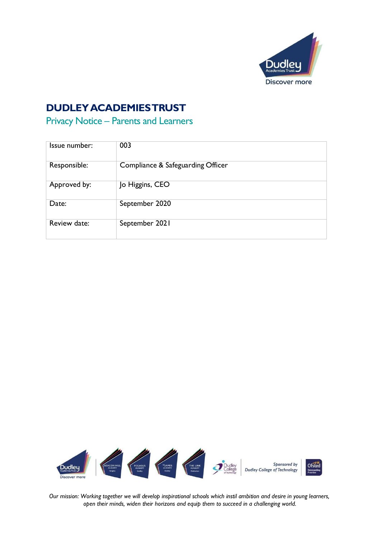

# **DUDLEYACADEMIESTRUST**

## Privacy Notice – Parents and Learners

| Issue number: | 003                               |
|---------------|-----------------------------------|
| Responsible:  | Compliance & Safeguarding Officer |
| Approved by:  | Jo Higgins, CEO                   |
| Date:         | September 2020                    |
| Review date:  | September 2021                    |



*Our mission: Working together we will develop inspirational schools which instil ambition and desire in young learners, open their minds, widen their horizons and equip them to succeed in a challenging world.*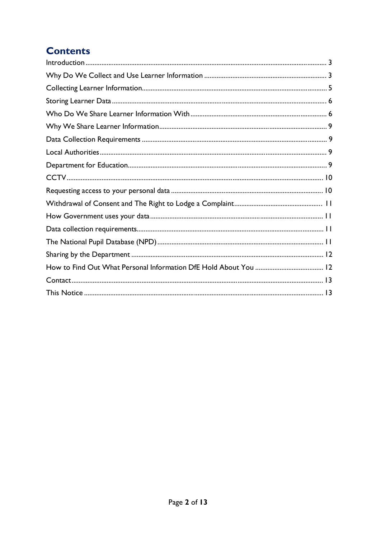# **Contents**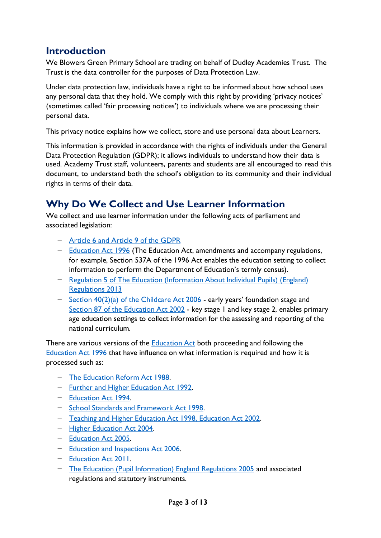## **Introduction**

We Blowers Green Primary School are trading on behalf of Dudley Academies Trust. The Trust is the data controller for the purposes of Data Protection Law.

Under data protection law, individuals have a right to be informed about how school uses any personal data that they hold. We comply with this right by providing 'privacy notices' (sometimes called 'fair processing notices') to individuals where we are processing their personal data.

This privacy notice explains how we collect, store and use personal data about Learners.

This information is provided in accordance with the rights of individuals under the General Data Protection Regulation (GDPR); it allows individuals to understand how their data is used. Academy Trust staff, volunteers, parents and students are all encouraged to read this document, to understand both the school's obligation to its community and their individual rights in terms of their data.

## **Why Do We Collect and Use Learner Information**

We collect and use learner information under the following acts of parliament and associated legislation:

- − [Article](https://ico.org.uk/for-organisations/guide-to-data-protection/guide-to-the-general-data-protection-regulation-gdpr/lawful-basis-for-processing/) 6 and Article 9 of the GDPR
- − [Education](http://www.legislation.gov.uk/ukpga/1996/56/contents) Act 1996 (The Education Act, amendments and accompany regulations, for example, Section 537A of the 1996 Act enables the education setting to collect information to perform the Department of Education's termly census).
- − Regulation 5 of The Education [\(Information](http://www.legislation.gov.uk/uksi/2013/2094/made) About Individual Pupils) (England) [Regulations](http://www.legislation.gov.uk/uksi/2013/2094/made) 2013
- − Section 40(2)(a) of the [Childcare](http://www.legislation.gov.uk/ukpga/2006/21/section/40) Act 2006 early years' foundation stage and Section 87 of the [Education](http://www.legislation.gov.uk/ukpga/2002/32/section/87) Act 2002 - key stage 1 and key stage 2, enables primary age education settings to collect information for the assessing and reporting of the national curriculum.

There are various versions of the [Education](http://www.legislation.gov.uk/ukpga/2011/21/contents/enacted) Act both proceeding and following the [Education](http://www.legislation.gov.uk/ukpga/1996/56/contents) Act 1996 that have influence on what information is required and how it is processed such as:

- − The [Education](http://www.legislation.gov.uk/ukpga/1988/40/contents) Reform Act 1988.
- − Further and Higher [Education](http://www.legislation.gov.uk/ukpga/1992/13/contents) Act 1992.
- − [Education](http://www.legislation.gov.uk/ukpga/1994/30/contents) Act 1994.
- − School Standards and [Framework](http://www.legislation.gov.uk/ukpga/1998/31/contents) Act 1998.
- − Teaching and Higher Education Act 1998, [Education](http://www.legislation.gov.uk/ukpga/1998/30) Act 2002.
- − Higher [Education](http://www.legislation.gov.uk/ukpga/2004/8/contents) Act 2004.
- − [Education](https://www.legislation.gov.uk/ukpga/2005/18/contents) Act 2005.
- − Education [and Inspections](http://www.legislation.gov.uk/ukpga/2006/40/contents) Act 2006.
- − [Education](http://www.legislation.gov.uk/ukpga/2011/21/pdfs/ukpga_20110021_en.pdf) Act 2011.
- − The Education (Pupil [Information\)](http://www.legislation.gov.uk/uksi/2005/1437/contents/made) England Regulations 2005 and associated regulations and statutory instruments.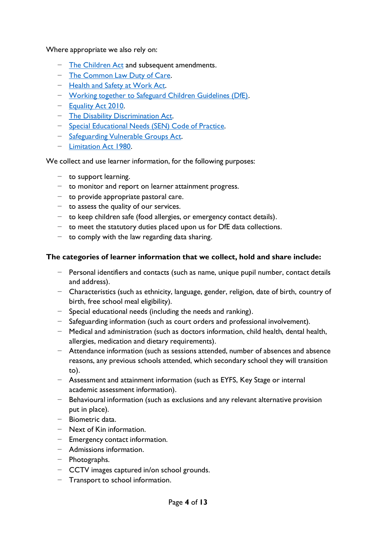Where appropriate we also rely on:

- − The [Children](http://www.legislation.gov.uk/ukpga/2004/31) Act and subsequent amendments.
- − The [Common](https://en.wikipedia.org/wiki/Duty_of_care_in_English_law) Law Duty of Care.
- − [Health](http://www.legislation.gov.uk/ukpga/1974/37/contents) and Safety at Work Act.
- − Working together to Safeguard Children [Guidelines](https://www.gov.uk/government/publications/working-together-to-safeguard-children--2) (DfE).
- − [Equality](http://www.legislation.gov.uk/ukpga/2010/15/contents) Act 2010.
- − The Disability [Discrimination](file:///C:/Users/James/Downloads/Ã¯ÂÂ­%09The%20Disability%20Discrimination%20Act) Act.
- − Special [Educational](https://www.gov.uk/government/publications/send-code-of-practice-0-to-25) Needs (SEN) Code of Practice.
- − [Safeguarding](http://www.legislation.gov.uk/ukpga/2006/47/contents) Vulnerable Groups Act.
- − [Limitation](http://www.legislation.gov.uk/ukpga/1980/58) Act 1980.

We collect and use learner information, for the following purposes:

- − to support learning.
- − to monitor and report on learner attainment progress.
- − to provide appropriate pastoral care.
- − to assess the quality of our services.
- − to keep children safe (food allergies, or emergency contact details).
- − to meet the statutory duties placed upon us for DfE data collections.
- − to comply with the law regarding data sharing.

### **The categories of learner information that we collect, hold and share include:**

- − Personal identifiers and contacts (such as name, unique pupil number, contact details and address).
- − Characteristics (such as ethnicity, language, gender, religion, date of birth, country of birth, free school meal eligibility).
- − Special educational needs (including the needs and ranking).
- − Safeguarding information (such as court orders and professional involvement).
- − Medical and administration (such as doctors information, child health, dental health, allergies, medication and dietary requirements).
- − Attendance information (such as sessions attended, number of absences and absence reasons, any previous schools attended, which secondary school they will transition to).
- − Assessment and attainment information (such as EYFS, Key Stage or internal academic assessment information).
- − Behavioural information (such as exclusions and any relevant alternative provision put in place).
- − Biometric data.
- − Next of Kin information.
- − Emergency contact information.
- − Admissions information.
- − Photographs.
- − CCTV images captured in/on school grounds.
- − Transport to school information.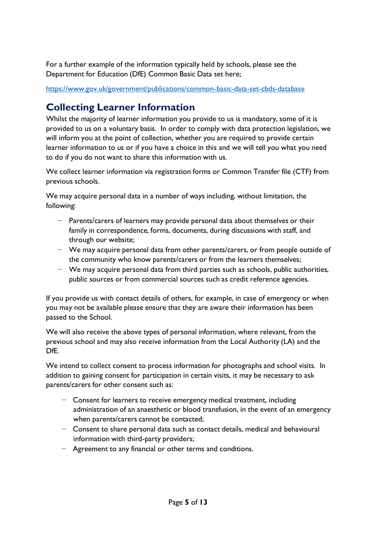For a further example of the information typically held by schools, please see the Department for Education (DfE) Common Basic Data set here;

<https://www.gov.uk/government/publications/common-basic-data-set-cbds-database>

## **Collecting Learner Information**

Whilst the majority of learner information you provide to us is mandatory, some of it is provided to us on a voluntary basis. In order to comply with data protection legislation, we will inform you at the point of collection, whether you are required to provide certain learner information to us or if you have a choice in this and we will tell you what you need to do if you do not want to share this information with us.

We collect learner information via registration forms or Common Transfer file (CTF) from previous schools.

We may acquire personal data in a number of ways including, without limitation, the following:

- − Parents/carers of learners may provide personal data about themselves or their family in correspondence, forms, documents, during discussions with staff, and through our website;
- − We may acquire personal data from other parents/carers, or from people outside of the community who know parents/carers or from the learners themselves;
- − We may acquire personal data from third parties such as schools, public authorities, public sources or from commercial sources such as credit reference agencies.

If you provide us with contact details of others, for example, in case of emergency or when you may not be available please ensure that they are aware their information has been passed to the School.

We will also receive the above types of personal information, where relevant, from the previous school and may also receive information from the Local Authority (LA) and the DfE.

We intend to collect consent to process information for photographs and school visits. In addition to gaining consent for participation in certain visits, it may be necessary to ask parents/carers for other consent such as:

- − Consent for learners to receive emergency medical treatment, including administration of an anaesthetic or blood transfusion, in the event of an emergency when parents/carers cannot be contacted;
- − Consent to share personal data such as contact details, medical and behavioural information with third-party providers;
- − Agreement to any financial or other terms and conditions.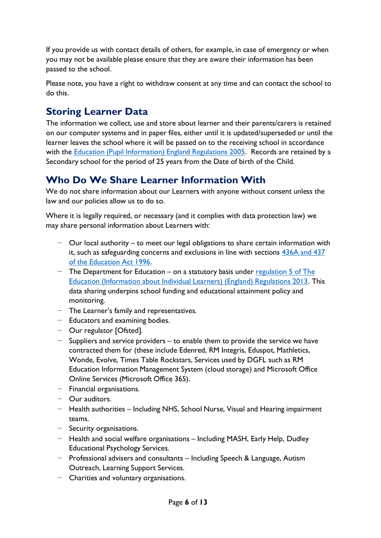If you provide us with contact details of others, for example, in case of emergency or when you may not be available please ensure that they are aware their information has been passed to the school.

Please note, you have a right to withdraw consent at any time and can contact the school to do this.

## **Storing Learner Data**

The information we collect, use and store about learner and their parents/carers is retained on our computer systems and in paper files, either until it is updated/superseded or until the learner leaves the school where it will be passed on to the receiving school in accordance with the Education (Pupil [Information\)](http://www.legislation.gov.uk/uksi/2005/1437/contents/made) England Regulations 2005. Records are retained by a Secondary school for the period of 25 years from the Date of birth of the Child.

### **Who Do We Share Learner Information With**

We do not share information about our Learners with anyone without consent unless the law and our policies allow us to do so.

Where it is legally required, or necessary (and it complies with data protection law) we may share personal information about Learners with:

- Our local authority to meet our legal obligations to share certain information with it, such as safeguarding concerns and exclusions in line with sections  $436A$  and  $437$ of [the](http://www.legislation.gov.uk/ukpga/1996/56/section/437/1999-08-31) [Education](http://www.legislation.gov.uk/ukpga/1996/56/section/437/1999-08-31) Act 199[6.](http://www.legislation.gov.uk/ukpga/1996/56/section/437/1999-08-31)
- − The Department for Education on a statutory basis under [regulation](http://www.legislation.gov.uk/uksi/2013/2094/made) 5 of The Education [\(Information](http://www.legislation.gov.uk/uksi/2013/2094/made) about Individual Learners) (England) Regulations 2013. This data sharing underpins school funding and educational attainment policy and monitoring.
- − The Learner's family and representatives.
- − Educators and examining bodies.
- − Our regulator [Ofsted].
- − Suppliers and service providers to enable them to provide the service we have contracted them for (these include Edenred, RM Integris, Eduspot, Mathletics, Wonde, Evolve, Times Table Rockstars, Services used by DGFL such as RM Education Information Management System (cloud storage) and Microsoft Office Online Services (Microsoft Office 365).
- − Financial organisations.
- − Our auditors.
- − Health authorities Including NHS, School Nurse, Visual and Hearing impairment teams.
- − Security organisations.
- − Health and social welfare organisations Including MASH, Early Help, Dudley Educational Psychology Services.
- − Professional advisers and consultants Including Speech & Language, Autism Outreach, Learning Support Services.
- − Charities and voluntary organisations.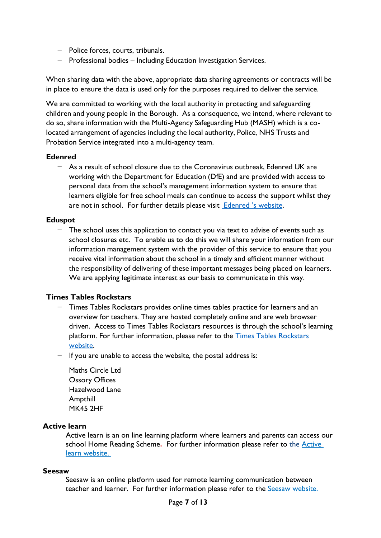- − Police forces, courts, tribunals.
- − Professional bodies Including Education Investigation Services.

When sharing data with the above, appropriate data sharing agreements or contracts will be in place to ensure the data is used only for the purposes required to deliver the service.

We are committed to working with the local authority in protecting and safeguarding children and young people in the Borough. As a consequence, we intend, where relevant to do so, share information with the Multi-Agency Safeguarding Hub (MASH) which is a colocated arrangement of agencies including the local authority, Police, NHS Trusts and Probation Service integrated into a multi-agency team.

#### **Edenred**

− As a result of school closure due to the Coronavirus outbreak, Edenred UK are working with the Department for Education (DfE) and are provided with access to personal data from the school's management information system to ensure that learners eligible for free school meals can continue to access the support whilst they are not in school. For further details please visit **[Edenred](https://www.edenred.co.uk/reward-recipients/Free-School-Meal-Vouchers/)**'s website.

#### **Eduspot**

− The school uses this application to contact you via text to advise of events such as school closures etc. To enable us to do this we will share your information from our information management system with the provider of this service to ensure that you receive vital information about the school in a timely and efficient manner without the responsibility of delivering of these important messages being placed on learners. We are applying legitimate interest as our basis to communicate in this way.

#### **Times Tables Rockstars**

- Times Tables Rockstars provides online times tables practice for learners and an overview for teachers. They are hosted completely online and are web browser driven. Access to Times Tables Rockstars resources is through the school's learning platform. For further information, please refer to the **Times Tables [Rockstars](https://ttrockstars.com/)** [website.](https://ttrockstars.com/)
- − If you are unable to access the website, the postal address is:

Maths Circle Ltd Ossory Offices Hazelwood Lane Ampthill MK45 2HF

#### **Active learn**

Active learn is an on line learning platform where learners and parents can access our school Home Reading Scheme. For further information please refer to the **[Active](http://www.activelearnprimary.co.uk/)** learn [website.](http://www.activelearnprimary.co.uk/)

#### **Seesaw**

Seesaw is an online platform used for remote learning communication between teacher and learner. For further information please refer to the Seesaw [website.](web.seesaw.me)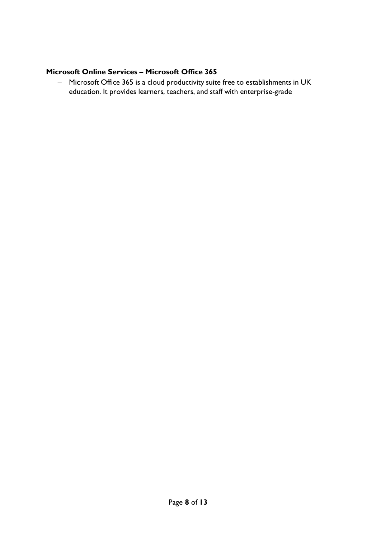#### **Microsoft Online Services – Microsoft Office 365**

− Microsoft Office 365 is a cloud productivity suite free to establishments in UK education. It provides learners, teachers, and staff with enterprise-grade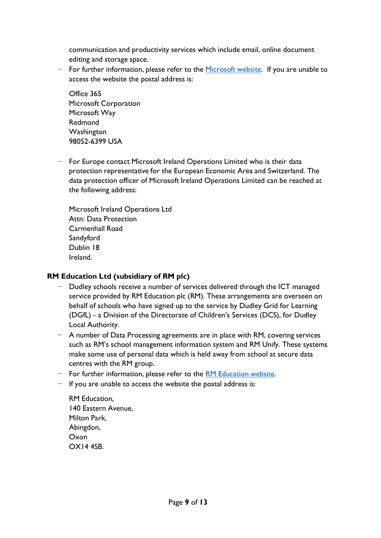communication and productivity services which include email, online document editing and storage space.

− For further information, please refer to the [Microsoft](https://privacy.microsoft.com/en-US/) website. If you are unable to access the website the postal address is:

Office 365 Microsoft Corporation Microsoft Way Redmond Washington 98052-6399 USA

− For Europe contact Microsoft Ireland Operations Limited who is their data protection representative for the European Economic Area and Switzerland. The data protection officer of Microsoft Ireland Operations Limited can be reached at the following address:

Microsoft Ireland Operations Ltd Attn: Data Protection Carmenhall Road Sandyford Dublin 18 Ireland.

#### **RM Education Ltd (subsidiary of RM plc)**

- Dudley schools receive a number of services delivered through the ICT managed service provided by RM Education plc (RM). These arrangements are overseen on behalf of schools who have signed up to the service by Dudley Grid for Learning (DGfL) - a Division of the Directorate of Children's Services (DCS), for Dudley Local Authority.
- − A number of Data Processing agreements are in place with RM, covering services such as RM's school management information system and RM Unify. These systems make some use of personal data which is held away from school at secure data centres with the RM group.
- − For further information, please refer to the RM [Education](https://www.rm.com/) website.
- − If you are unable to access the website the postal address is:

RM Education, 140 Eastern Avenue, Milton Park, Abingdon, Oxon OX14 4SB.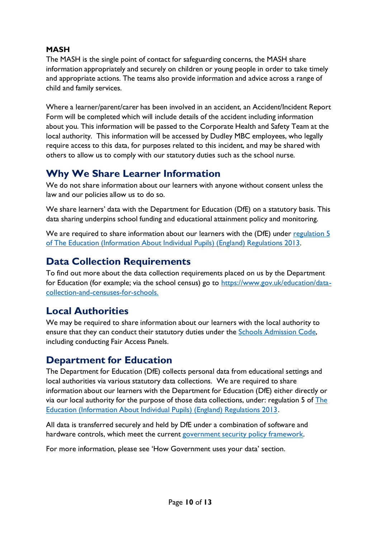### **MASH**

The MASH is the single point of contact for safeguarding concerns, the MASH share information appropriately and securely on children or young people in order to take timely and appropriate actions. The teams also provide information and advice across a range of child and family services.

Where a learner/parent/carer has been involved in an accident, an Accident/Incident Report Form will be completed which will include details of the accident including information about you. This information will be passed to the Corporate Health and Safety Team at the local authority. This information will be accessed by Dudley MBC employees, who legally require access to this data, for purposes related to this incident, and may be shared with others to allow us to comply with our statutory duties such as the school nurse.

## **Why We Share Learner Information**

We do not share information about our learners with anyone without consent unless the law and our policies allow us to do so.

We share learners' data with the Department for Education (DfE) on a statutory basis. This data sharing underpins school funding and educational attainment policy and monitoring.

We are required to share information about our learners with the (DfE) under [regulation](http://www.legislation.gov.uk/uksi/2013/2094/made) 5 of The Education [\(Information](http://www.legislation.gov.uk/uksi/2013/2094/made) About Individual Pupils) (England) Regulations 2013.

## **Data Collection Requirements**

To find out more about the data collection requirements placed on us by the Department for Education (for example; via the school census) go to [https://www.gov.uk/education/data](https://www.gov.uk/education/data-collection-and-censuses-for-schools)[collection-and-censuses-for-schools.](https://www.gov.uk/education/data-collection-and-censuses-for-schools)

### **Local Authorities**

We may be required to share information about our learners with the local authority to ensure that they can conduct their statutory duties under the Schools [Admission](https://www.gov.uk/government/publications/school-admissions-code--2) Code, including conducting Fair Access Panels.

### **Department for Education**

The Department for Education (DfE) collects personal data from educational settings and local authorities via various statutory data collections. We are required to share information about our learners with the Department for Education (DfE) either directly or via our local authority for the purpose of those data collections, under: regulation 5 of [The](http://www.legislation.gov.uk/uksi/2013/2094/made) Education [\(Information](http://www.legislation.gov.uk/uksi/2013/2094/made) About Individual Pupils) (England) Regulations 2013.

All data is transferred securely and held by DfE under a combination of software and hardware controls, which meet the current [government](https://www.gov.uk/government/publications/security-policy-framework) security policy framework.

For more information, please see 'How Government uses your data' section.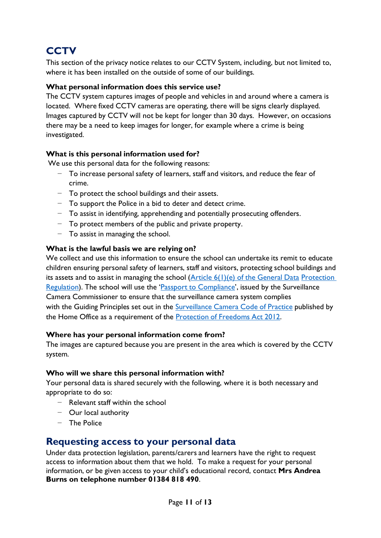# **CCTV**

This section of the privacy notice relates to our CCTV System, including, but not limited to, where it has been installed on the outside of some of our buildings.

#### **What personal information does this service use?**

The CCTV system captures images of people and vehicles in and around where a camera is located. Where fixed CCTV cameras are operating, there will be signs clearly displayed. Images captured by CCTV will not be kept for longer than 30 days. However, on occasions there may be a need to keep images for longer, for example where a crime is being investigated.

#### **What is this personal information used for?**

We use this personal data for the following reasons:

- − To increase personal safety of learners, staff and visitors, and reduce the fear of crime.
- − To protect the school buildings and their assets.
- − To support the Police in a bid to deter and detect crime.
- − To assist in identifying, apprehending and potentially prosecuting offenders.
- − To protect members of the public and private property.
- − To assist in managing the school.

#### **What is the lawful basis we are relying on?**

We collect and use this information to ensure the school can undertake its remit to educate children ensuring personal safety of learners, staff and visitors, protecting school buildings and its assets and to assist in managing the school (Article 6(1)(e) of the [General](https://ico.org.uk/for-organisations/guide-to-data-protection/guide-to-the-general-data-protection-regulation-gdpr/lawful-basis-for-processing/) Data [Protection](https://ico.org.uk/for-organisations/guide-to-data-protection/guide-to-the-general-data-protection-regulation-gdpr/lawful-basis-for-processing/) [Regulation\)](https://ico.org.uk/for-organisations/guide-to-data-protection/guide-to-the-general-data-protection-regulation-gdpr/lawful-basis-for-processing/). The school will use the 'Passport to [Compliance](https://www.gov.uk/government/publications/passport-to-compliance)', issued by the Surveillance Camera Commissioner to ensure that the surveillance camera system complies with the Guiding Principles set out in the [Surveillance](https://www.gov.uk/government/publications/surveillance-camera-code-of-practice) Camera Code of Practice published by the Home Office as a requirement of the [Protection](http://www.legislation.gov.uk/ukpga/2012/9/contents/enacted) of Freedoms Act 2012.

#### **Where has your personal information come from?**

The images are captured because you are present in the area which is covered by the CCTV system.

#### **Who will we share this personal information with?**

Your personal data is shared securely with the following, where it is both necessary and appropriate to do so:

- − Relevant staff within the school
- − Our local authority
- − The Police

### **Requesting access to your personal data**

Under data protection legislation, parents/carers and learners have the right to request access to information about them that we hold. To make a request for your personal information, or be given access to your child's educational record, contact **Mrs Andrea Burns on telephone number 01384 818 490**.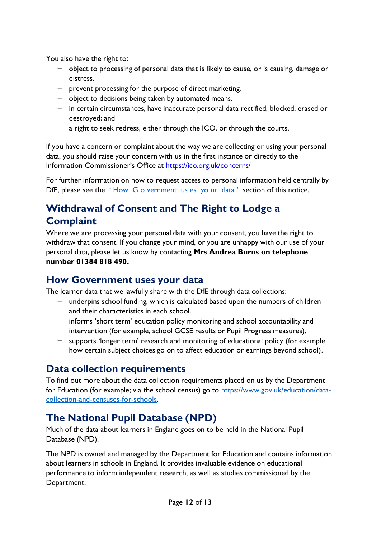You also have the right to:

- − object to processing of personal data that is likely to cause, or is causing, damage or distress.
- − prevent processing for the purpose of direct marketing.
- − object to decisions being taken by automated means.
- − in certain circumstances, have inaccurate personal data rectified, blocked, erased or destroyed; and
- − a right to seek redress, either through the ICO, or through the courts.

If you have a concern or complaint about the way we are collecting or using your personal data, you should raise your concern with us in the first instance or directly to the Information Commissioner's Office at<https://ico.org.uk/concerns/>

For further information on how to request access to personal information held centrally by DfE, please see the  $'$ How G o vernment us es yo ur data' section of this notice.

## **Withdrawal of Consent and The Right to Lodge a Complaint**

Where we are processing your personal data with your consent, you have the right to withdraw that consent. If you change your mind, or you are unhappy with our use of your personal data, please let us know by contacting **Mrs Andrea Burns on telephone number 01384 818 490.**

### **How Government uses your data**

The learner data that we lawfully share with the DfE through data collections:

- underpins school funding, which is calculated based upon the numbers of children and their characteristics in each school.
- − informs 'short term' education policy monitoring and school accountability and intervention (for example, school GCSE results or Pupil Progress measures).
- − supports 'longer term' research and monitoring of educational policy (for example how certain subject choices go on to affect education or earnings beyond school).

## **Data collection requirements**

To find out more about the data collection requirements placed on us by the Department for Education (for example; via the school census) go to [https://www.gov.uk/education/data](https://www.gov.uk/education/data-collection-and-censuses-for-schools)[collection-and-censuses-for-schools.](https://www.gov.uk/education/data-collection-and-censuses-for-schools)

# **The National Pupil Database (NPD)**

Much of the data about learners in England goes on to be held in the National Pupil Database (NPD).

The NPD is owned and managed by the Department for Education and contains information about learners in schools in England. It provides invaluable evidence on educational performance to inform independent research, as well as studies commissioned by the Department.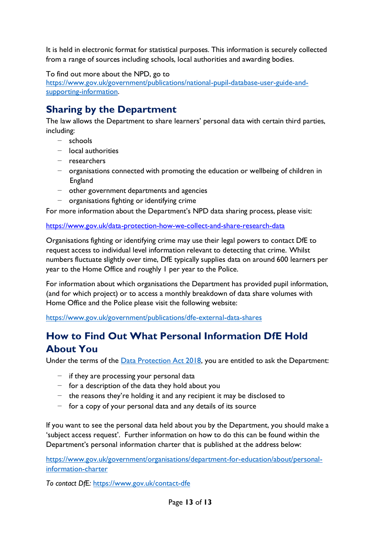It is held in electronic format for statistical purposes. This information is securely collected from a range of sources including schools, local authorities and awarding bodies.

To find out more about the NPD, go to

[https://www.gov.uk/government/publications/national-pupil-database-user-guide-and](https://www.gov.uk/government/publications/national-pupil-database-user-guide-and-supporting-information)[supporting-information.](https://www.gov.uk/government/publications/national-pupil-database-user-guide-and-supporting-information)

# **Sharing by the Department**

The law allows the Department to share learners' personal data with certain third parties, including:

- − schools
- − local authorities
- − researchers
- − organisations connected with promoting the education or wellbeing of children in England
- − other government departments and agencies
- − organisations fighting or identifying crime

For more information about the Department's NPD data sharing process, please visit:

### <https://www.gov.uk/data-protection-how-we-collect-and-share-research-data>

Organisations fighting or identifying crime may use their legal powers to contact DfE to request access to individual level information relevant to detecting that crime. Whilst numbers fluctuate slightly over time, DfE typically supplies data on around 600 learners per year to the Home Office and roughly 1 per year to the Police.

For information about which organisations the Department has provided pupil information, (and for which project) or to access a monthly breakdown of data share volumes with Home Office and the Police please visit the following website:

<https://www.gov.uk/government/publications/dfe-external-data-shares>

# **How to Find Out What Personal Information DfE Hold About You**

Under the terms of the Data [Protection](http://www.legislation.gov.uk/ukpga/2018/12/contents/enacted) Act 2018, you are entitled to ask the Department:

- − if they are processing your personal data
- − for a description of the data they hold about you
- − the reasons they're holding it and any recipient it may be disclosed to
- − for a copy of your personal data and any details of its source

If you want to see the personal data held about you by the Department, you should make a 'subject access request'. Further information on how to do this can be found within the Department's personal information charter that is published at the address below:

[https://www.gov.uk/government/organisations/department-for-education/about/personal](https://www.gov.uk/government/organisations/department-for-education/about/personal-information-charter)[information-charter](https://www.gov.uk/government/organisations/department-for-education/about/personal-information-charter)

*To contact DfE:* <https://www.gov.uk/contact-dfe>